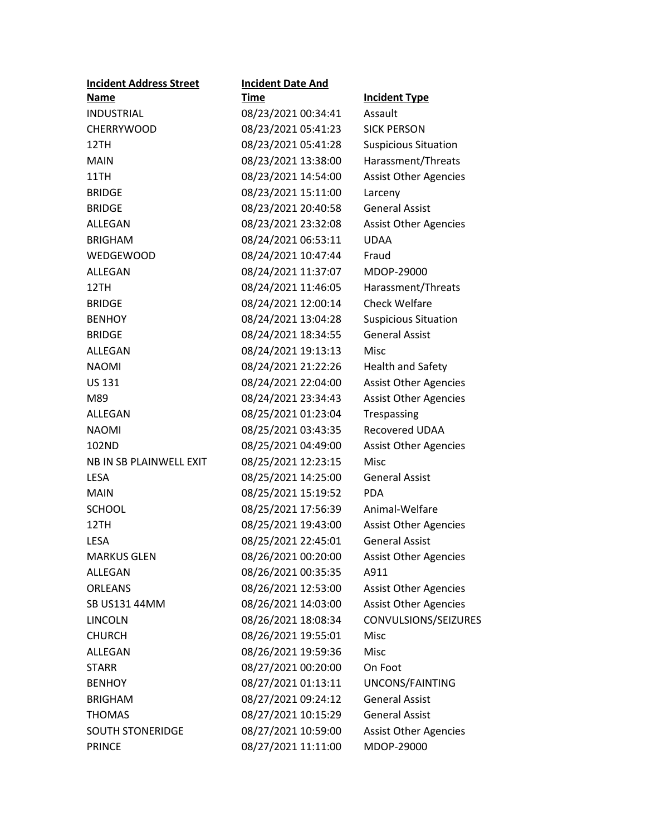| <b>Incident Address Street</b> | <b>Incident Date And</b> |                              |
|--------------------------------|--------------------------|------------------------------|
| Name                           | Time                     | <b>Incident Type</b>         |
| <b>INDUSTRIAL</b>              | 08/23/2021 00:34:41      | Assault                      |
| <b>CHERRYWOOD</b>              | 08/23/2021 05:41:23      | <b>SICK PERSON</b>           |
| 12TH                           | 08/23/2021 05:41:28      | <b>Suspicious Situation</b>  |
| MAIN                           | 08/23/2021 13:38:00      | Harassment/Threats           |
| 11TH                           | 08/23/2021 14:54:00      | <b>Assist Other Agencies</b> |
| <b>BRIDGE</b>                  | 08/23/2021 15:11:00      | Larceny                      |
| <b>BRIDGE</b>                  | 08/23/2021 20:40:58      | <b>General Assist</b>        |
| ALLEGAN                        | 08/23/2021 23:32:08      | <b>Assist Other Agencies</b> |
| <b>BRIGHAM</b>                 | 08/24/2021 06:53:11      | <b>UDAA</b>                  |
| <b>WEDGEWOOD</b>               | 08/24/2021 10:47:44      | Fraud                        |
| ALLEGAN                        | 08/24/2021 11:37:07      | MDOP-29000                   |
| 12TH                           | 08/24/2021 11:46:05      | Harassment/Threats           |
| <b>BRIDGE</b>                  | 08/24/2021 12:00:14      | <b>Check Welfare</b>         |
| <b>BENHOY</b>                  | 08/24/2021 13:04:28      | <b>Suspicious Situation</b>  |
| <b>BRIDGE</b>                  | 08/24/2021 18:34:55      | <b>General Assist</b>        |
| ALLEGAN                        | 08/24/2021 19:13:13      | Misc                         |
| <b>NAOMI</b>                   | 08/24/2021 21:22:26      | <b>Health and Safety</b>     |
| <b>US 131</b>                  | 08/24/2021 22:04:00      | <b>Assist Other Agencies</b> |
| M89                            | 08/24/2021 23:34:43      | <b>Assist Other Agencies</b> |
| ALLEGAN                        | 08/25/2021 01:23:04      | Trespassing                  |
| <b>NAOMI</b>                   | 08/25/2021 03:43:35      | Recovered UDAA               |
| 102ND                          | 08/25/2021 04:49:00      | <b>Assist Other Agencies</b> |
| NB IN SB PLAINWELL EXIT        | 08/25/2021 12:23:15      | <b>Misc</b>                  |
| <b>LESA</b>                    | 08/25/2021 14:25:00      | <b>General Assist</b>        |
| <b>MAIN</b>                    | 08/25/2021 15:19:52      | <b>PDA</b>                   |
| <b>SCHOOL</b>                  | 08/25/2021 17:56:39      | Animal-Welfare               |
| 12TH                           | 08/25/2021 19:43:00      | <b>Assist Other Agencies</b> |
| LESA                           | 08/25/2021 22:45:01      | <b>General Assist</b>        |
| <b>MARKUS GLEN</b>             | 08/26/2021 00:20:00      | <b>Assist Other Agencies</b> |
| ALLEGAN                        | 08/26/2021 00:35:35      | A911                         |
| <b>ORLEANS</b>                 | 08/26/2021 12:53:00      | <b>Assist Other Agencies</b> |
| SB US131 44MM                  | 08/26/2021 14:03:00      | <b>Assist Other Agencies</b> |
| <b>LINCOLN</b>                 | 08/26/2021 18:08:34      | CONVULSIONS/SEIZURES         |
| <b>CHURCH</b>                  | 08/26/2021 19:55:01      | Misc                         |
| ALLEGAN                        | 08/26/2021 19:59:36      | Misc                         |
| STARR                          | 08/27/2021 00:20:00      | On Foot                      |
| <b>BENHOY</b>                  | 08/27/2021 01:13:11      | UNCONS/FAINTING              |
| <b>BRIGHAM</b>                 | 08/27/2021 09:24:12      | <b>General Assist</b>        |
| <b>THOMAS</b>                  | 08/27/2021 10:15:29      | <b>General Assist</b>        |
| <b>SOUTH STONERIDGE</b>        | 08/27/2021 10:59:00      | <b>Assist Other Agencies</b> |
| <b>PRINCE</b>                  | 08/27/2021 11:11:00      | MDOP-29000                   |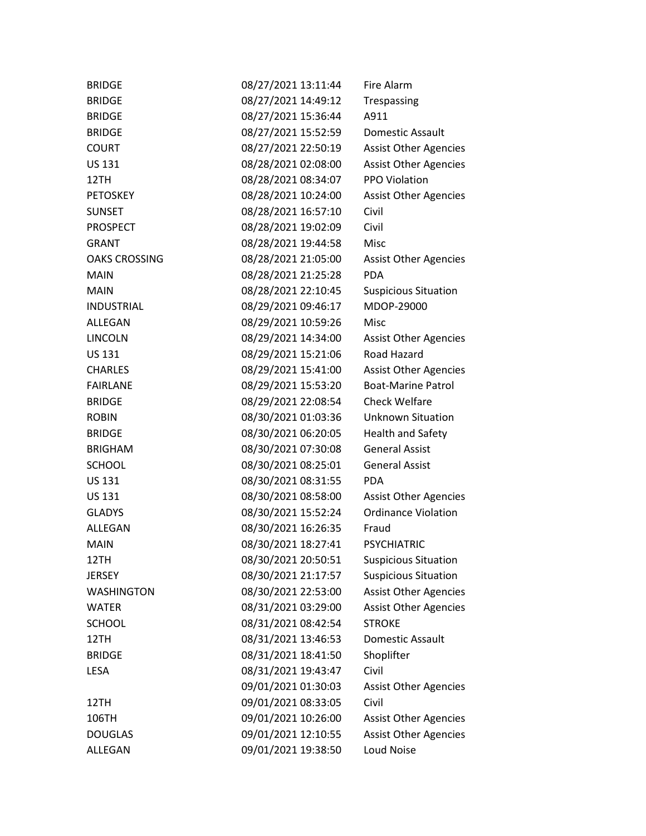| <b>BRIDGE</b>        | 08/27/2021 13:11:44 | Fire Alarm                   |
|----------------------|---------------------|------------------------------|
| <b>BRIDGE</b>        | 08/27/2021 14:49:12 | Trespassing                  |
| <b>BRIDGE</b>        | 08/27/2021 15:36:44 | A911                         |
| <b>BRIDGE</b>        | 08/27/2021 15:52:59 | Domestic Assault             |
| <b>COURT</b>         | 08/27/2021 22:50:19 | <b>Assist Other Agencies</b> |
| <b>US 131</b>        | 08/28/2021 02:08:00 | <b>Assist Other Agencies</b> |
| 12TH                 | 08/28/2021 08:34:07 | PPO Violation                |
| <b>PETOSKEY</b>      | 08/28/2021 10:24:00 | <b>Assist Other Agencies</b> |
| <b>SUNSET</b>        | 08/28/2021 16:57:10 | Civil                        |
| <b>PROSPECT</b>      | 08/28/2021 19:02:09 | Civil                        |
| <b>GRANT</b>         | 08/28/2021 19:44:58 | Misc                         |
| <b>OAKS CROSSING</b> | 08/28/2021 21:05:00 | <b>Assist Other Agencies</b> |
| <b>MAIN</b>          | 08/28/2021 21:25:28 | <b>PDA</b>                   |
| <b>MAIN</b>          | 08/28/2021 22:10:45 | <b>Suspicious Situation</b>  |
| <b>INDUSTRIAL</b>    | 08/29/2021 09:46:17 | MDOP-29000                   |
| ALLEGAN              | 08/29/2021 10:59:26 | Misc                         |
| <b>LINCOLN</b>       | 08/29/2021 14:34:00 | <b>Assist Other Agencies</b> |
| <b>US 131</b>        | 08/29/2021 15:21:06 | Road Hazard                  |
| <b>CHARLES</b>       | 08/29/2021 15:41:00 | <b>Assist Other Agencies</b> |
| <b>FAIRLANE</b>      | 08/29/2021 15:53:20 | <b>Boat-Marine Patrol</b>    |
| <b>BRIDGE</b>        | 08/29/2021 22:08:54 | <b>Check Welfare</b>         |
| <b>ROBIN</b>         | 08/30/2021 01:03:36 | <b>Unknown Situation</b>     |
| <b>BRIDGE</b>        | 08/30/2021 06:20:05 | <b>Health and Safety</b>     |
| <b>BRIGHAM</b>       | 08/30/2021 07:30:08 | <b>General Assist</b>        |
| <b>SCHOOL</b>        | 08/30/2021 08:25:01 | <b>General Assist</b>        |
| US 131               | 08/30/2021 08:31:55 | <b>PDA</b>                   |
| <b>US 131</b>        | 08/30/2021 08:58:00 | <b>Assist Other Agencies</b> |
| <b>GLADYS</b>        | 08/30/2021 15:52:24 | <b>Ordinance Violation</b>   |
| <b>ALLEGAN</b>       | 08/30/2021 16:26:35 | Fraud                        |
| <b>MAIN</b>          | 08/30/2021 18:27:41 | <b>PSYCHIATRIC</b>           |
| 12TH                 | 08/30/2021 20:50:51 | <b>Suspicious Situation</b>  |
| <b>JERSEY</b>        | 08/30/2021 21:17:57 | <b>Suspicious Situation</b>  |
| <b>WASHINGTON</b>    | 08/30/2021 22:53:00 | <b>Assist Other Agencies</b> |
| <b>WATER</b>         | 08/31/2021 03:29:00 | <b>Assist Other Agencies</b> |
| <b>SCHOOL</b>        | 08/31/2021 08:42:54 | <b>STROKE</b>                |
| 12TH                 | 08/31/2021 13:46:53 | Domestic Assault             |
| <b>BRIDGE</b>        | 08/31/2021 18:41:50 | Shoplifter                   |
| <b>LESA</b>          | 08/31/2021 19:43:47 | Civil                        |
|                      | 09/01/2021 01:30:03 | <b>Assist Other Agencies</b> |
| 12TH                 | 09/01/2021 08:33:05 | Civil                        |
| 106TH                | 09/01/2021 10:26:00 | <b>Assist Other Agencies</b> |
| <b>DOUGLAS</b>       | 09/01/2021 12:10:55 | <b>Assist Other Agencies</b> |
| ALLEGAN              | 09/01/2021 19:38:50 | Loud Noise                   |